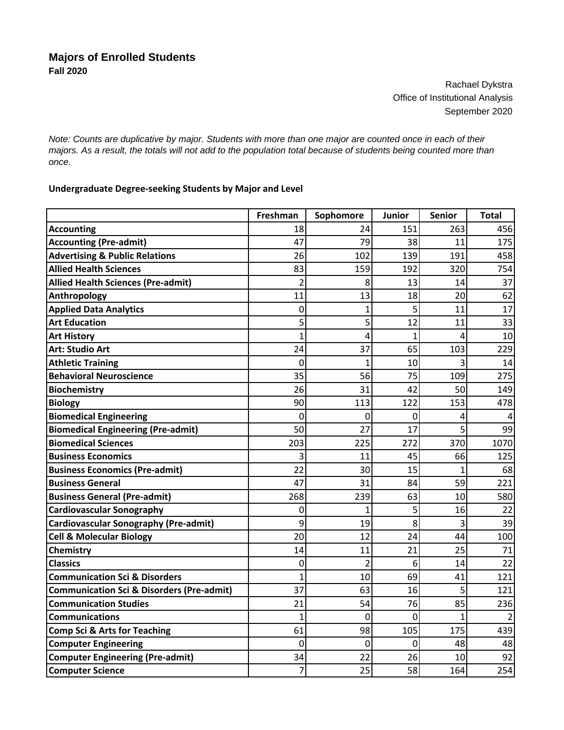Rachael Dykstra Office of Institutional Analysis September 2020

*Note: Counts are duplicative by major. Students with more than one major are counted once in each of their majors. As a result, the totals will not add to the population total because of students being counted more than once.*

## **Undergraduate Degree‐seeking Students by Major and Level**

|                                                      | Freshman       | Sophomore      | Junior       | <b>Senior</b> | <b>Total</b> |
|------------------------------------------------------|----------------|----------------|--------------|---------------|--------------|
| <b>Accounting</b>                                    | 18             | 24             | 151          | 263           | 456          |
| <b>Accounting (Pre-admit)</b>                        | 47             | 79             | 38           | 11            | 175          |
| <b>Advertising &amp; Public Relations</b>            | 26             | 102            | 139          | 191           | 458          |
| <b>Allied Health Sciences</b>                        | 83             | 159            | 192          | 320           | 754          |
| <b>Allied Health Sciences (Pre-admit)</b>            | $\overline{2}$ | 8              | 13           | 14            | 37           |
| Anthropology                                         | 11             | 13             | 18           | 20            | 62           |
| <b>Applied Data Analytics</b>                        | $\mathbf 0$    | $\mathbf 1$    | 5            | 11            | 17           |
| <b>Art Education</b>                                 | 5              | 5              | 12           | 11            | 33           |
| <b>Art History</b>                                   | 1              | 4              | $\mathbf{1}$ | 4             | 10           |
| <b>Art: Studio Art</b>                               | 24             | 37             | 65           | 103           | 229          |
| <b>Athletic Training</b>                             | $\mathbf 0$    | $\mathbf 1$    | 10           | 3             | 14           |
| <b>Behavioral Neuroscience</b>                       | 35             | 56             | 75           | 109           | 275          |
| <b>Biochemistry</b>                                  | 26             | 31             | 42           | 50            | 149          |
| <b>Biology</b>                                       | 90             | 113            | 122          | 153           | 478          |
| <b>Biomedical Engineering</b>                        | $\mathbf 0$    | 0              | 0            | 4             |              |
| <b>Biomedical Engineering (Pre-admit)</b>            | 50             | 27             | 17           | 5             | 99           |
| <b>Biomedical Sciences</b>                           | 203            | 225            | 272          | 370           | 1070         |
| <b>Business Economics</b>                            | 3              | 11             | 45           | 66            | 125          |
| <b>Business Economics (Pre-admit)</b>                | 22             | 30             | 15           | $\mathbf{1}$  | 68           |
| <b>Business General</b>                              | 47             | 31             | 84           | 59            | 221          |
| <b>Business General (Pre-admit)</b>                  | 268            | 239            | 63           | 10            | 580          |
| <b>Cardiovascular Sonography</b>                     | 0              | $\mathbf{1}$   | 5            | 16            | 22           |
| Cardiovascular Sonography (Pre-admit)                | 9              | 19             | 8            | 3             | 39           |
| <b>Cell &amp; Molecular Biology</b>                  | 20             | 12             | 24           | 44            | 100          |
| <b>Chemistry</b>                                     | 14             | 11             | 21           | 25            | 71           |
| <b>Classics</b>                                      | $\mathbf 0$    | $\overline{2}$ | 6            | 14            | 22           |
| <b>Communication Sci &amp; Disorders</b>             | 1              | 10             | 69           | 41            | 121          |
| <b>Communication Sci &amp; Disorders (Pre-admit)</b> | 37             | 63             | 16           | 5             | 121          |
| <b>Communication Studies</b>                         | 21             | 54             | 76           | 85            | 236          |
| <b>Communications</b>                                | 1              | 0              | 0            | $\mathbf{1}$  |              |
| <b>Comp Sci &amp; Arts for Teaching</b>              | 61             | 98             | 105          | 175           | 439          |
| <b>Computer Engineering</b>                          | 0              | 0              | 0            | 48            | 48           |
| <b>Computer Engineering (Pre-admit)</b>              | 34             | 22             | 26           | 10            | 92           |
| <b>Computer Science</b>                              | 7              | 25             | 58           | 164           | 254          |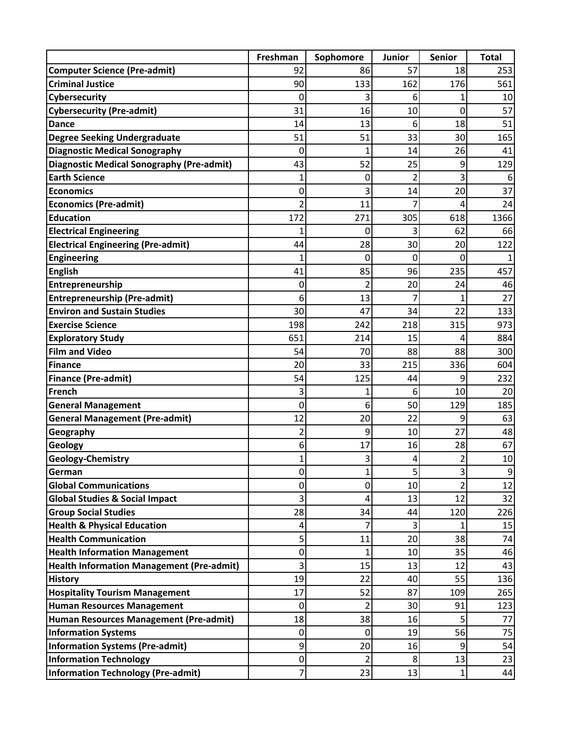|                                                  | Freshman       | Sophomore            | <b>Junior</b>  | <b>Senior</b>  | <b>Total</b> |
|--------------------------------------------------|----------------|----------------------|----------------|----------------|--------------|
| <b>Computer Science (Pre-admit)</b>              | 92             | 86                   | 57             | 18             | 253          |
| <b>Criminal Justice</b>                          | 90             | 133                  | 162            | 176            | 561          |
| Cybersecurity                                    | 0              | 3                    | 6              | 1              | 10           |
| <b>Cybersecurity (Pre-admit)</b>                 | 31             | 16                   | 10             | 0              | 57           |
| <b>Dance</b>                                     | 14             | 13                   | 6              | 18             | 51           |
| <b>Degree Seeking Undergraduate</b>              | 51             | 51                   | 33             | 30             | 165          |
| <b>Diagnostic Medical Sonography</b>             | 0              | 1                    | 14             | 26             | 41           |
| <b>Diagnostic Medical Sonography (Pre-admit)</b> | 43             | 52                   | 25             | 9              | 129          |
| <b>Earth Science</b>                             | $\mathbf{1}$   | 0                    | $\overline{2}$ | 3              | 6            |
| <b>Economics</b>                                 | 0              | 3                    | 14             | 20             | 37           |
| <b>Economics (Pre-admit)</b>                     | $\overline{2}$ | 11                   |                | 4              | 24           |
| <b>Education</b>                                 | 172            | 271                  | 305            | 618            | 1366         |
| <b>Electrical Engineering</b>                    | 1              | 0                    | 3              | 62             | 66           |
| <b>Electrical Engineering (Pre-admit)</b>        | 44             | 28                   | 30             | 20             | 122          |
| <b>Engineering</b>                               | 1              | 0                    | 0              | 0              |              |
| <b>English</b>                                   | 41             | 85                   | 96             | 235            | 457          |
| Entrepreneurship                                 | 0              | $\overline{2}$       | 20             | 24             | 46           |
| <b>Entrepreneurship (Pre-admit)</b>              | 6              | 13                   | 7              | 1              | 27           |
| <b>Environ and Sustain Studies</b>               | 30             | 47                   | 34             | 22             | 133          |
| <b>Exercise Science</b>                          | 198            | 242                  | 218            | 315            | 973          |
| <b>Exploratory Study</b>                         | 651            | 214                  | 15             | 4              | 884          |
| <b>Film and Video</b>                            | 54             | 70                   | 88             | 88             | 300          |
| Finance                                          | 20             | 33                   | 215            | 336            | 604          |
| <b>Finance (Pre-admit)</b>                       | 54             | 125                  | 44             | 9              | 232          |
| French                                           | 3              | 1                    | 6              | 10             | 20           |
| <b>General Management</b>                        | 0              | 6                    | 50             | 129            | 185          |
| <b>General Management (Pre-admit)</b>            | 12             | 20                   | 22             | 9              | 63           |
| Geography                                        | $\overline{c}$ | 9                    | 10             | 27             | 48           |
| <b>Geology</b>                                   | 6              | 17                   | 16             | 28             | 67           |
| <b>Geology-Chemistry</b>                         | 1              | 3                    | 4              | 2              | 10           |
| German                                           | 0              | $\mathbf{1}$         | 5              | $\mathsf 3$    | 9            |
| <b>Global Communications</b>                     | 0              | $\mathbf 0$          | 10             | $\overline{2}$ | 12           |
| <b>Global Studies &amp; Social Impact</b>        | 3              | 4                    | 13             | 12             | 32           |
| <b>Group Social Studies</b>                      | 28             | 34                   | 44             | 120            | 226          |
| <b>Health &amp; Physical Education</b>           | 4              | $\overline{7}$       | 3              | 1              | 15           |
| <b>Health Communication</b>                      | 5              | 11                   | 20             | 38             | 74           |
| <b>Health Information Management</b>             | 0              | $\mathbf{1}$         | 10             | 35             | 46           |
| <b>Health Information Management (Pre-admit)</b> | 3              | 15                   | 13             | 12             | 43           |
| <b>History</b>                                   | 19             | 22                   | 40             | 55             | 136          |
| <b>Hospitality Tourism Management</b>            | 17             | 52                   | 87             | 109            | 265          |
| <b>Human Resources Management</b>                | 0              | $\overline{2}$<br>38 | 30             | 91             | 123<br>77    |
| Human Resources Management (Pre-admit)           | 18             |                      | 16             | 5              |              |
| <b>Information Systems</b>                       | 0              | 0<br>20              | 19             | 56<br>9        | 75<br>54     |
| <b>Information Systems (Pre-admit)</b>           | 9              |                      | 16             |                |              |
| <b>Information Technology</b>                    | 0              | $\overline{2}$       | 8              | 13             | 23           |
| Information Technology (Pre-admit)               | 7              | 23                   | 13             | $\mathbf 1$    | 44           |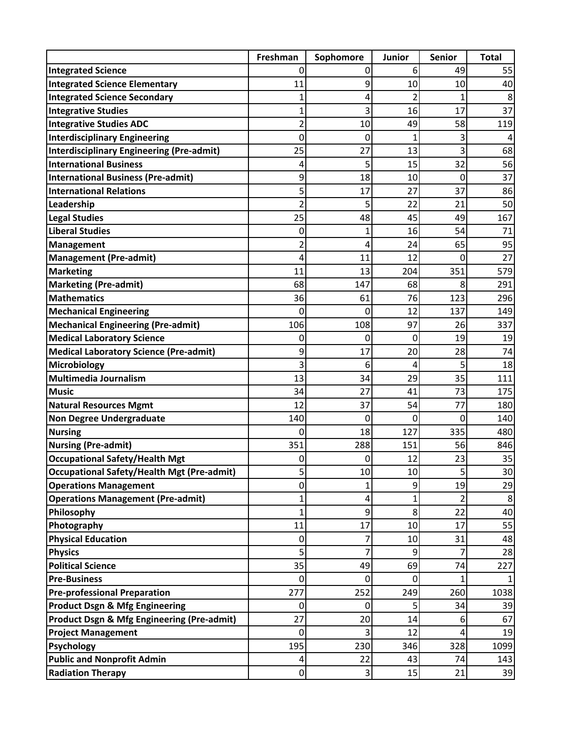|                                                                                  | Freshman       | Sophomore               | Junior   | <b>Senior</b>  | <b>Total</b> |
|----------------------------------------------------------------------------------|----------------|-------------------------|----------|----------------|--------------|
| <b>Integrated Science</b>                                                        | 0              | 0                       | 6        | 49             | 55           |
| <b>Integrated Science Elementary</b>                                             | 11             | 9                       | 10       | 10             | 40           |
| <b>Integrated Science Secondary</b>                                              | 1              | 4                       | 2        | $\overline{1}$ | 8            |
| <b>Integrative Studies</b>                                                       | 1              | 3                       | 16       | 17             | 37           |
| <b>Integrative Studies ADC</b>                                                   | $\overline{c}$ | 10                      | 49       | 58             | 119          |
| <b>Interdisciplinary Engineering</b>                                             | 0              | 0                       | 1        | 3              |              |
| <b>Interdisciplinary Engineering (Pre-admit)</b>                                 | 25             | 27                      | 13       | 3              | 68           |
| <b>International Business</b>                                                    | 4              | 5                       | 15       | 32             | 56           |
| <b>International Business (Pre-admit)</b>                                        | 9              | 18                      | 10       | 0              | 37           |
| <b>International Relations</b>                                                   | 5              | 17                      | 27       | 37             | 86           |
| Leadership                                                                       | $\overline{2}$ | 5                       | 22       | 21             | 50           |
| <b>Legal Studies</b>                                                             | 25             | 48                      | 45       | 49             | 167          |
| <b>Liberal Studies</b>                                                           | 0              | $\mathbf{1}$            | 16       | 54             | 71           |
| Management                                                                       | $\overline{2}$ | 4                       | 24       | 65             | 95           |
| <b>Management (Pre-admit)</b>                                                    | 4              | 11                      | 12       | 0              | 27           |
| <b>Marketing</b>                                                                 | 11             | 13                      | 204      | 351            | 579          |
| <b>Marketing (Pre-admit)</b>                                                     | 68             | 147                     | 68       | 8              | 291          |
| <b>Mathematics</b>                                                               | 36             | 61                      | 76       | 123            | 296          |
| <b>Mechanical Engineering</b>                                                    | 0              | 0                       | 12       | 137            | 149          |
| <b>Mechanical Engineering (Pre-admit)</b>                                        | 106            | 108                     | 97       | 26             | 337          |
| <b>Medical Laboratory Science</b>                                                | 0              | 0                       | 0        | 19             | 19           |
| Medical Laboratory Science (Pre-admit)                                           | 9              | 17                      | 20       | 28             | 74           |
| <b>Microbiology</b>                                                              | 3              | 6                       | 4        | 5              | 18           |
| Multimedia Journalism                                                            | 13             | 34                      | 29       | 35             | 111          |
| <b>Music</b>                                                                     | 34             | 27                      | 41       | 73             | 175          |
| <b>Natural Resources Mgmt</b>                                                    | 12             | 37                      | 54       | 77             | 180          |
| Non Degree Undergraduate                                                         | 140            | 0                       | 0        | 0              | 140          |
| <b>Nursing</b>                                                                   | 0              | 18                      | 127      | 335            | 480          |
| <b>Nursing (Pre-admit)</b>                                                       | 351            | 288                     | 151      | 56             | 846          |
| <b>Occupational Safety/Health Mgt</b>                                            | 0              | $\overline{0}$          | 12       | 23             | 35           |
| <b>Occupational Safety/Health Mgt (Pre-admit)</b>                                | 5              | 10                      | 10       | 5              | 30           |
| <b>Operations Management</b>                                                     | 0              | $\mathbf{1}$            | 9        | 19             | 29           |
| <b>Operations Management (Pre-admit)</b>                                         | 1              | 4                       | 1        | 2              | 8            |
| Philosophy                                                                       | 1              | 9<br>17                 | 8        | 22             | 40           |
| Photography                                                                      | 11             |                         | 10       | 17             | 55           |
| <b>Physical Education</b><br><b>Physics</b>                                      | 0<br>5         | 7<br>$\overline{7}$     | 10<br>9  | 31<br>7        | 48<br>28     |
| <b>Political Science</b>                                                         | 35             | 49                      | 69       | 74             | 227          |
| <b>Pre-Business</b>                                                              | 0              | $\overline{0}$          | 0        | 1              |              |
|                                                                                  | 277            |                         |          |                |              |
| <b>Pre-professional Preparation</b><br><b>Product Dsgn &amp; Mfg Engineering</b> | 0              | 252<br>0                | 249<br>5 | 260<br>34      | 1038<br>39   |
| <b>Product Dsgn &amp; Mfg Engineering (Pre-admit)</b>                            | 27             | 20                      | 14       | 6              | 67           |
|                                                                                  |                | 3                       | 12       |                |              |
| <b>Project Management</b><br><b>Psychology</b>                                   | 0<br>195       | 230                     | 346      | 4<br>328       | 19<br>1099   |
| <b>Public and Nonprofit Admin</b>                                                |                | 22                      | 43       | 74             |              |
|                                                                                  | 4              | $\overline{\mathbf{3}}$ |          |                | 143          |
| <b>Radiation Therapy</b>                                                         | $\mathbf 0$    |                         | 15       | 21             | 39           |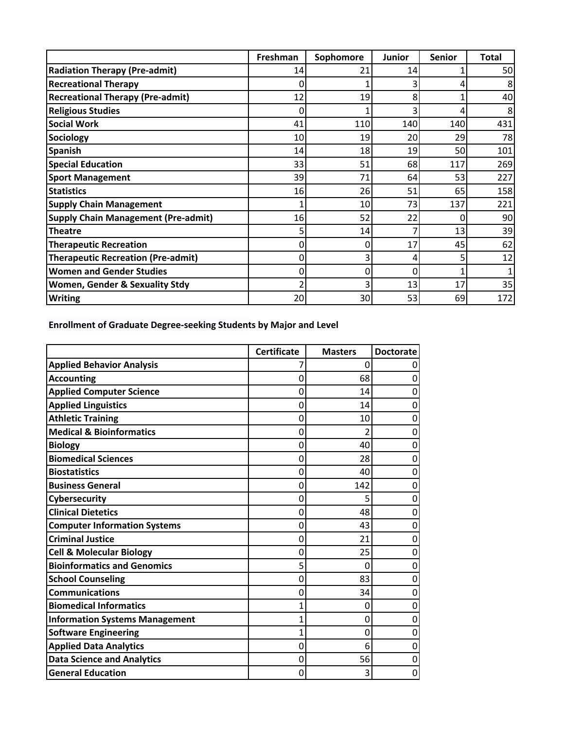|                                            | Freshman | Sophomore | Junior | <b>Senior</b> | <b>Total</b> |
|--------------------------------------------|----------|-----------|--------|---------------|--------------|
| <b>Radiation Therapy (Pre-admit)</b>       | 14       | 21        | 14     |               | 50           |
| <b>Recreational Therapy</b>                | 0        |           |        | 4             |              |
| <b>Recreational Therapy (Pre-admit)</b>    | 12       | 19        | 8      |               | 40           |
| <b>Religious Studies</b>                   | 0        |           | 3      | 4             |              |
| <b>Social Work</b>                         | 41       | 110       | 140    | 140           | 431          |
| <b>Sociology</b>                           | 10       | 19        | 20     | 29            | 78           |
| <b>Spanish</b>                             | 14       | 18        | 19     | 50            | 101          |
| <b>Special Education</b>                   | 33       | 51        | 68     | 117           | 269          |
| <b>Sport Management</b>                    | 39       | 71        | 64     | 53            | 227          |
| <b>Statistics</b>                          | 16       | 26        | 51     | 65            | 158          |
| <b>Supply Chain Management</b>             |          | 10        | 73     | 137           | 221          |
| <b>Supply Chain Management (Pre-admit)</b> | 16       | 52        | 22     | 0             | 90           |
| <b>Theatre</b>                             |          | 14        | 7      | 13            | 39           |
| <b>Therapeutic Recreation</b>              | 0        |           | 17     | 45            | 62           |
| <b>Therapeutic Recreation (Pre-admit)</b>  | 0        |           | 4      | 5             | 12           |
| <b>Women and Gender Studies</b>            | 0        | 0         | 0      |               |              |
| <b>Women, Gender &amp; Sexuality Stdy</b>  | ำ        | 3         | 13     | 17            | 35           |
| <b>Writing</b>                             | 20       | 30        | 53     | 69            | 172          |

**Enrollment of Graduate Degree‐seeking Students by Major and Level**

|                                       | <b>Certificate</b> | <b>Masters</b> | <b>Doctorate</b> |
|---------------------------------------|--------------------|----------------|------------------|
| <b>Applied Behavior Analysis</b>      |                    | 0              | 0                |
| <b>Accounting</b>                     | 0                  | 68             | 0                |
| <b>Applied Computer Science</b>       | 0                  | 14             | 0                |
| <b>Applied Linguistics</b>            | 0                  | 14             | 0                |
| <b>Athletic Training</b>              | 0                  | 10             | 0                |
| <b>Medical &amp; Bioinformatics</b>   | 0                  | $\mathfrak z$  | 0                |
| <b>Biology</b>                        | 0                  | 40             | 0                |
| <b>Biomedical Sciences</b>            | 0                  | 28             | 0                |
| <b>Biostatistics</b>                  | 0                  | 40             | 0                |
| <b>Business General</b>               | 0                  | 142            | 0                |
| Cybersecurity                         | 0                  | 5              | 0                |
| <b>Clinical Dietetics</b>             | 0                  | 48             | 0                |
| <b>Computer Information Systems</b>   | 0                  | 43             | 0                |
| <b>Criminal Justice</b>               | 0                  | 21             | 0                |
| <b>Cell &amp; Molecular Biology</b>   | O                  | 25             | 0                |
| <b>Bioinformatics and Genomics</b>    |                    | $\Omega$       | 0                |
| <b>School Counseling</b>              | Ω                  | 83             | 0                |
| <b>Communications</b>                 | 0                  | 34             | 0                |
| <b>Biomedical Informatics</b>         |                    | 0              | 0                |
| <b>Information Systems Management</b> |                    | 0              | 0                |
| <b>Software Engineering</b>           |                    | 0              | 0                |
| <b>Applied Data Analytics</b>         | 0                  | 6              | 0                |
| <b>Data Science and Analytics</b>     | 0                  | 56             | 0                |
| <b>General Education</b>              | 0                  | 3              | 0                |